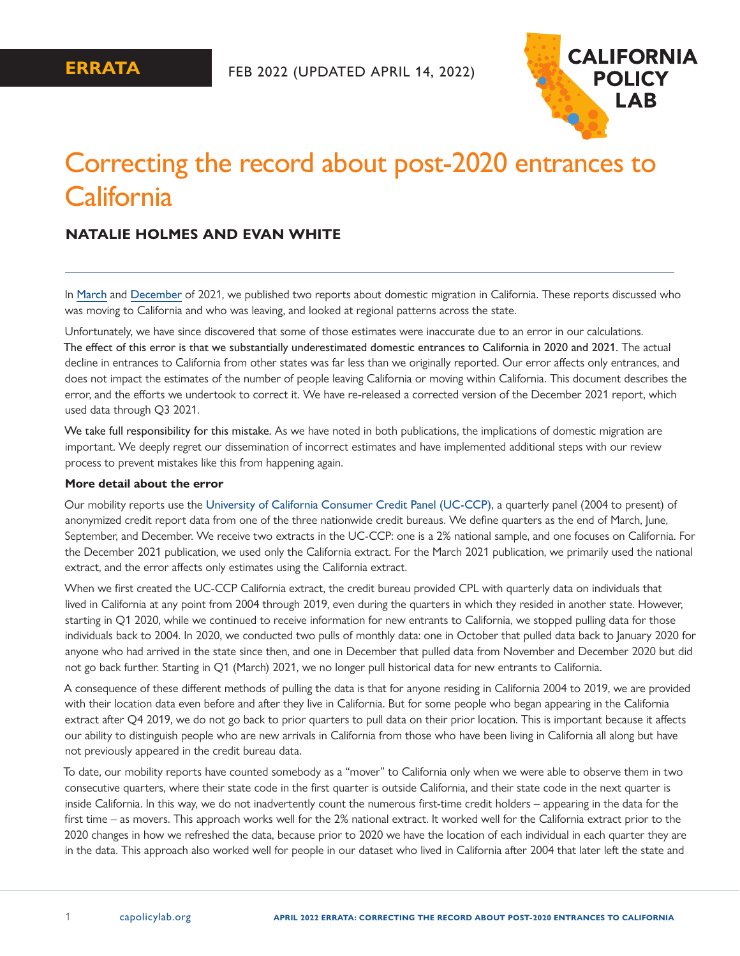

# Correcting the record about post-2020 entrances to **California**

# **NATALIE HOLMES AND EVAN WHITE**

In [March](https://www.capolicylab.org/calexodus-are-people-leaving-california-updated/) and [December](https://www.capolicylab.org/pandemic-patterns-california-is-seeing-fewer-entrances-and-more-exits-updated/) of 2021, we published two reports about domestic migration in California. These reports discussed who was moving to California and who was leaving, and looked at regional patterns across the state.

Unfortunately, we have since discovered that some of those estimates were inaccurate due to an error in our calculations. The effect of this error is that we substantially underestimated domestic entrances to California in 2020 and 2021. The actual decline in entrances to California from other states was far less than we originally reported. Our error affects only entrances, and does not impact the estimates of the number of people leaving California or moving within California. This document describes the error, and the efforts we undertook to correct it. We have re-released a corrected version of the December 2021 report, which used data through Q3 2021.

We take full responsibility for this mistake. As we have noted in both publications, the implications of domestic migration are important. We deeply regret our dissemination of incorrect estimates and have implemented additional steps with our review process to prevent mistakes like this from happening again.

#### **More detail about the error**

Our mobility reports use the [University of California Consumer Credit Panel \(UC-CCP\),](https://www.capolicylab.org/data-resources/university-of-california-consumer-credit-panel/) a quarterly panel (2004 to present) of anonymized credit report data from one of the three nationwide credit bureaus. We define quarters as the end of March, June, September, and December. We receive two extracts in the UC-CCP: one is a 2% national sample, and one focuses on California. For the December 2021 publication, we used only the California extract. For the March 2021 publication, we primarily used the national extract, and the error affects only estimates using the California extract.

When we first created the UC-CCP California extract, the credit bureau provided CPL with quarterly data on individuals that lived in California at any point from 2004 through 2019, even during the quarters in which they resided in another state. However, starting in Q1 2020, while we continued to receive information for new entrants to California, we stopped pulling data for those individuals back to 2004. In 2020, we conducted two pulls of monthly data: one in October that pulled data back to January 2020 for anyone who had arrived in the state since then, and one in December that pulled data from November and December 2020 but did not go back further. Starting in Q1 (March) 2021, we no longer pull historical data for new entrants to California.

A consequence of these different methods of pulling the data is that for anyone residing in California 2004 to 2019, we are provided with their location data even before and after they live in California. But for some people who began appearing in the California extract after Q4 2019, we do not go back to prior quarters to pull data on their prior location. This is important because it affects our ability to distinguish people who are new arrivals in California from those who have been living in California all along but have not previously appeared in the credit bureau data.

To date, our mobility reports have counted somebody as a "mover" to California only when we were able to observe them in two consecutive quarters, where their state code in the first quarter is outside California, and their state code in the next quarter is inside California. In this way, we do not inadvertently count the numerous first-time credit holders – appearing in the data for the first time – as movers. This approach works well for the 2% national extract. It worked well for the California extract prior to the 2020 changes in how we refreshed the data, because prior to 2020 we have the location of each individual in each quarter they are in the data. This approach also worked well for people in our dataset who lived in California after 2004 that later left the state and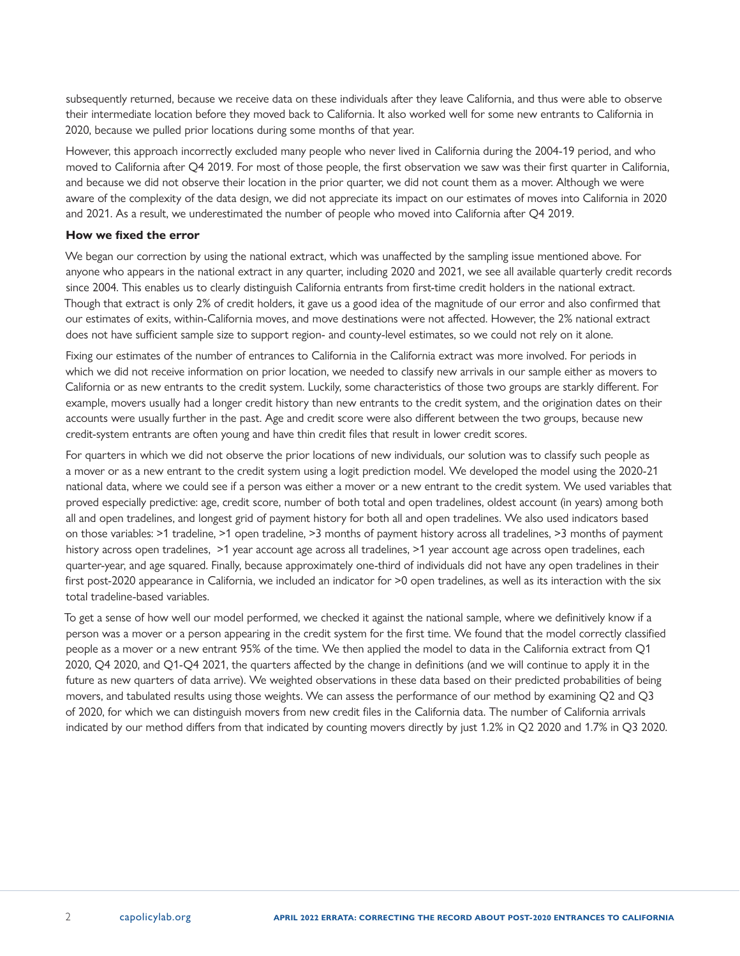subsequently returned, because we receive data on these individuals after they leave California, and thus were able to observe their intermediate location before they moved back to California. It also worked well for some new entrants to California in 2020, because we pulled prior locations during some months of that year.

However, this approach incorrectly excluded many people who never lived in California during the 2004-19 period, and who moved to California after Q4 2019. For most of those people, the first observation we saw was their first quarter in California, and because we did not observe their location in the prior quarter, we did not count them as a mover. Although we were aware of the complexity of the data design, we did not appreciate its impact on our estimates of moves into California in 2020 and 2021. As a result, we underestimated the number of people who moved into California after Q4 2019.

#### **How we fixed the error**

We began our correction by using the national extract, which was unaffected by the sampling issue mentioned above. For anyone who appears in the national extract in any quarter, including 2020 and 2021, we see all available quarterly credit records since 2004. This enables us to clearly distinguish California entrants from first-time credit holders in the national extract. Though that extract is only 2% of credit holders, it gave us a good idea of the magnitude of our error and also confirmed that our estimates of exits, within-California moves, and move destinations were not affected. However, the 2% national extract does not have sufficient sample size to support region- and county-level estimates, so we could not rely on it alone.

Fixing our estimates of the number of entrances to California in the California extract was more involved. For periods in which we did not receive information on prior location, we needed to classify new arrivals in our sample either as movers to California or as new entrants to the credit system. Luckily, some characteristics of those two groups are starkly different. For example, movers usually had a longer credit history than new entrants to the credit system, and the origination dates on their accounts were usually further in the past. Age and credit score were also different between the two groups, because new credit-system entrants are often young and have thin credit files that result in lower credit scores.

For quarters in which we did not observe the prior locations of new individuals, our solution was to classify such people as a mover or as a new entrant to the credit system using a logit prediction model. We developed the model using the 2020-21 national data, where we could see if a person was either a mover or a new entrant to the credit system. We used variables that proved especially predictive: age, credit score, number of both total and open tradelines, oldest account (in years) among both all and open tradelines, and longest grid of payment history for both all and open tradelines. We also used indicators based on those variables: >1 tradeline, >1 open tradeline, >3 months of payment history across all tradelines, >3 months of payment history across open tradelines, >1 year account age across all tradelines, >1 year account age across open tradelines, each quarter-year, and age squared. Finally, because approximately one-third of individuals did not have any open tradelines in their first post-2020 appearance in California, we included an indicator for >0 open tradelines, as well as its interaction with the six total tradeline-based variables.

To get a sense of how well our model performed, we checked it against the national sample, where we definitively know if a person was a mover or a person appearing in the credit system for the first time. We found that the model correctly classified people as a mover or a new entrant 95% of the time. We then applied the model to data in the California extract from Q1 2020, Q4 2020, and Q1-Q4 2021, the quarters affected by the change in definitions (and we will continue to apply it in the future as new quarters of data arrive). We weighted observations in these data based on their predicted probabilities of being movers, and tabulated results using those weights. We can assess the performance of our method by examining Q2 and Q3 of 2020, for which we can distinguish movers from new credit files in the California data. The number of California arrivals indicated by our method differs from that indicated by counting movers directly by just 1.2% in Q2 2020 and 1.7% in Q3 2020.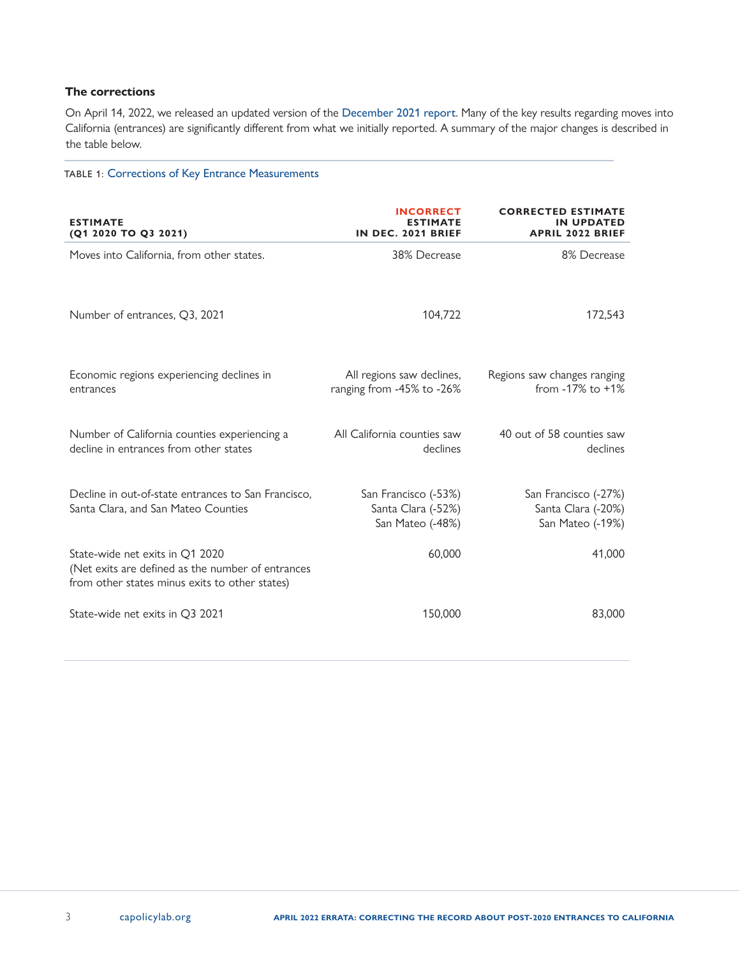## **The corrections**

On April 14, 2022, we released an updated version of the [December 2021 report](https://www.capolicylab.org/pandemic-patterns-california-is-seeing-fewer-entrances-and-more-exits-april-2022-update/). Many of the key results regarding moves into California (entrances) are significantly different from what we initially reported. A summary of the major changes is described in the table below.

# TABLE 1: Corrections of Key Entrance Measurements

| <b>ESTIMATE</b><br>(Q1 2020 TO Q3 2021)                                                                                                | <b>INCORRECT</b><br><b>ESTIMATE</b><br>IN DEC. 2021 BRIEF      | <b>CORRECTED ESTIMATE</b><br>IN UPDATED<br><b>APRIL 2022 BRIEF</b> |
|----------------------------------------------------------------------------------------------------------------------------------------|----------------------------------------------------------------|--------------------------------------------------------------------|
| Moves into California, from other states.                                                                                              | 38% Decrease                                                   | 8% Decrease                                                        |
| Number of entrances, Q3, 2021                                                                                                          | 104,722                                                        | 172,543                                                            |
| Economic regions experiencing declines in<br>entrances                                                                                 | All regions saw declines,<br>ranging from -45% to -26%         | Regions saw changes ranging<br>from $-17\%$ to $+1\%$              |
| Number of California counties experiencing a<br>decline in entrances from other states                                                 | All California counties saw<br>declines                        | 40 out of 58 counties saw<br>declines                              |
| Decline in out-of-state entrances to San Francisco,<br>Santa Clara, and San Mateo Counties                                             | San Francisco (-53%)<br>Santa Clara (-52%)<br>San Mateo (-48%) | San Francisco (-27%)<br>Santa Clara (-20%)<br>San Mateo (-19%)     |
| State-wide net exits in Q1 2020<br>(Net exits are defined as the number of entrances<br>from other states minus exits to other states) | 60,000                                                         | 41,000                                                             |
| State-wide net exits in Q3 2021                                                                                                        | 150,000                                                        | 83,000                                                             |